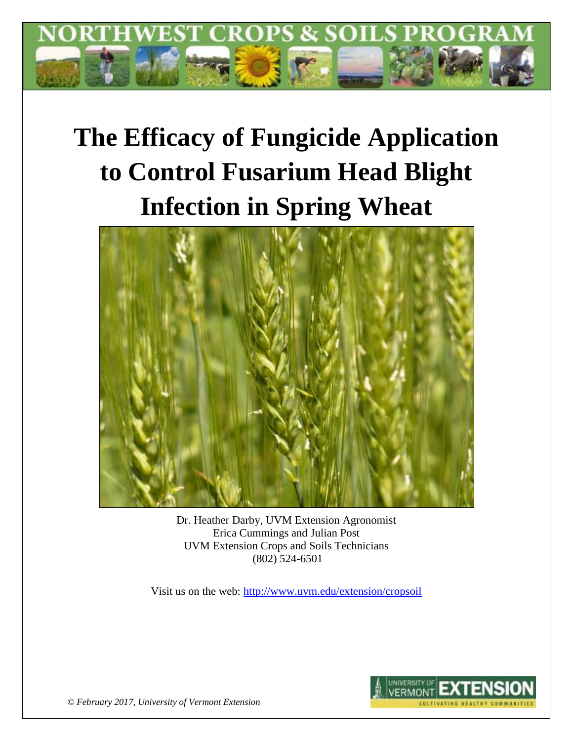

# **The Efficacy of Fungicide Application to Control Fusarium Head Blight Infection in Spring Wheat**



Dr. Heather Darby, UVM Extension Agronomist Erica Cummings and Julian Post UVM Extension Crops and Soils Technicians (802) 524-6501

Visit us on the web:<http://www.uvm.edu/extension/cropsoil>



*© February 2017, University of Vermont Extension*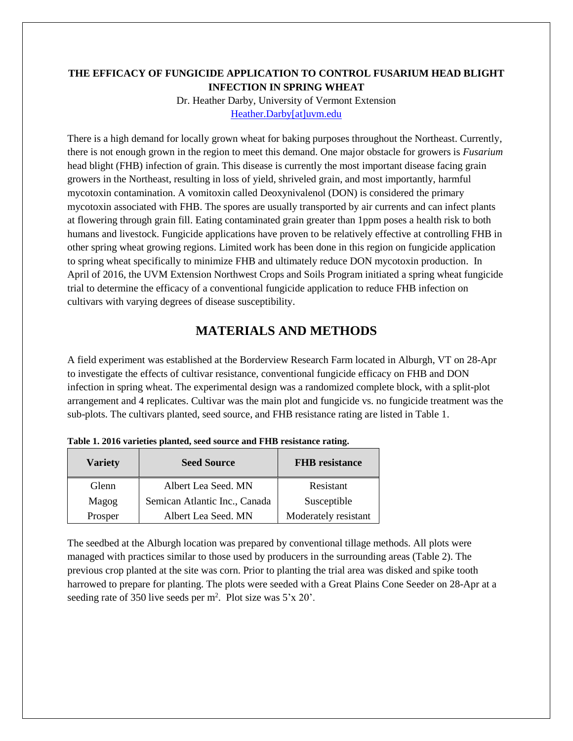## **THE EFFICACY OF FUNGICIDE APPLICATION TO CONTROL FUSARIUM HEAD BLIGHT INFECTION IN SPRING WHEAT**

Dr. Heather Darby, University of Vermont Extension [Heather.Darby\[at\]uvm.edu](mailto:Heather.Darby@uvm.edu)

There is a high demand for locally grown wheat for baking purposes throughout the Northeast. Currently, there is not enough grown in the region to meet this demand. One major obstacle for growers is *Fusarium* head blight (FHB) infection of grain. This disease is currently the most important disease facing grain growers in the Northeast, resulting in loss of yield, shriveled grain, and most importantly, harmful mycotoxin contamination. A vomitoxin called Deoxynivalenol (DON) is considered the primary mycotoxin associated with FHB. The spores are usually transported by air currents and can infect plants at flowering through grain fill. Eating contaminated grain greater than 1ppm poses a health risk to both humans and livestock. Fungicide applications have proven to be relatively effective at controlling FHB in other spring wheat growing regions. Limited work has been done in this region on fungicide application to spring wheat specifically to minimize FHB and ultimately reduce DON mycotoxin production. In April of 2016, the UVM Extension Northwest Crops and Soils Program initiated a spring wheat fungicide trial to determine the efficacy of a conventional fungicide application to reduce FHB infection on cultivars with varying degrees of disease susceptibility.

# **MATERIALS AND METHODS**

A field experiment was established at the Borderview Research Farm located in Alburgh, VT on 28-Apr to investigate the effects of cultivar resistance, conventional fungicide efficacy on FHB and DON infection in spring wheat. The experimental design was a randomized complete block, with a split-plot arrangement and 4 replicates. Cultivar was the main plot and fungicide vs. no fungicide treatment was the sub-plots. The cultivars planted, seed source, and FHB resistance rating are listed in Table 1.

| <b>Variety</b> | <b>Seed Source</b>            | <b>FHB</b> resistance |
|----------------|-------------------------------|-----------------------|
| Glenn          | Albert Lea Seed. MN           | Resistant             |
| Magog          | Semican Atlantic Inc., Canada | Susceptible           |
| Prosper        | Albert Lea Seed. MN           | Moderately resistant  |

**Table 1. 2016 varieties planted, seed source and FHB resistance rating.**

The seedbed at the Alburgh location was prepared by conventional tillage methods. All plots were managed with practices similar to those used by producers in the surrounding areas (Table 2). The previous crop planted at the site was corn. Prior to planting the trial area was disked and spike tooth harrowed to prepare for planting. The plots were seeded with a Great Plains Cone Seeder on 28-Apr at a seeding rate of 350 live seeds per  $m^2$ . Plot size was 5'x 20'.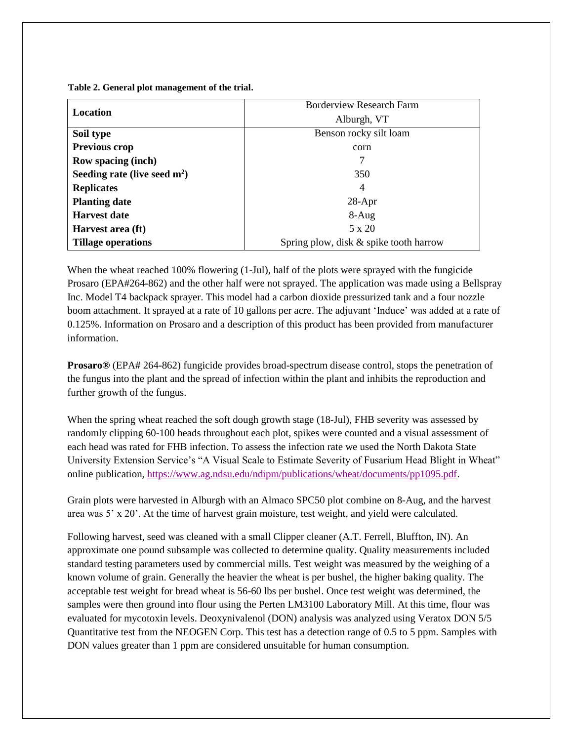**Table 2. General plot management of the trial.**

| Location                       | <b>Borderview Research Farm</b>           |  |  |
|--------------------------------|-------------------------------------------|--|--|
|                                | Alburgh, VT                               |  |  |
| Soil type                      | Benson rocky silt loam                    |  |  |
| Previous crop                  | corn                                      |  |  |
| <b>Row spacing (inch)</b>      | 7                                         |  |  |
| Seeding rate (live seed $m2$ ) | 350                                       |  |  |
| <b>Replicates</b>              | $\overline{4}$                            |  |  |
| <b>Planting date</b>           | $28-Apr$                                  |  |  |
| <b>Harvest date</b>            | $8-Aug$                                   |  |  |
| Harvest area (ft)              | 5 x 20                                    |  |  |
| <b>Tillage operations</b>      | Spring plow, disk $\&$ spike tooth harrow |  |  |

When the wheat reached 100% flowering (1-Jul), half of the plots were sprayed with the fungicide Prosaro (EPA#264-862) and the other half were not sprayed. The application was made using a Bellspray Inc. Model T4 backpack sprayer. This model had a carbon dioxide pressurized tank and a four nozzle boom attachment. It sprayed at a rate of 10 gallons per acre. The adjuvant 'Induce' was added at a rate of 0.125%. Information on Prosaro and a description of this product has been provided from manufacturer information.

**Prosaro®** (EPA# 264-862) fungicide provides broad-spectrum disease control, stops the penetration of the fungus into the plant and the spread of infection within the plant and inhibits the reproduction and further growth of the fungus.

When the spring wheat reached the soft dough growth stage (18-Jul), FHB severity was assessed by randomly clipping 60-100 heads throughout each plot, spikes were counted and a visual assessment of each head was rated for FHB infection. To assess the infection rate we used the North Dakota State University Extension Service's "A Visual Scale to Estimate Severity of Fusarium Head Blight in Wheat" online publication, [https://www.ag.ndsu.edu/ndipm/publications/wheat/documents/pp1095.pdf.](https://www.ag.ndsu.edu/ndipm/publications/wheat/documents/pp1095.pdf)

Grain plots were harvested in Alburgh with an Almaco SPC50 plot combine on 8-Aug, and the harvest area was 5' x 20'. At the time of harvest grain moisture, test weight, and yield were calculated.

Following harvest, seed was cleaned with a small Clipper cleaner (A.T. Ferrell, Bluffton, IN). An approximate one pound subsample was collected to determine quality. Quality measurements included standard testing parameters used by commercial mills. Test weight was measured by the weighing of a known volume of grain. Generally the heavier the wheat is per bushel, the higher baking quality. The acceptable test weight for bread wheat is 56-60 lbs per bushel. Once test weight was determined, the samples were then ground into flour using the Perten LM3100 Laboratory Mill. At this time, flour was evaluated for mycotoxin levels. Deoxynivalenol (DON) analysis was analyzed using Veratox DON 5/5 Quantitative test from the NEOGEN Corp. This test has a detection range of 0.5 to 5 ppm. Samples with DON values greater than 1 ppm are considered unsuitable for human consumption.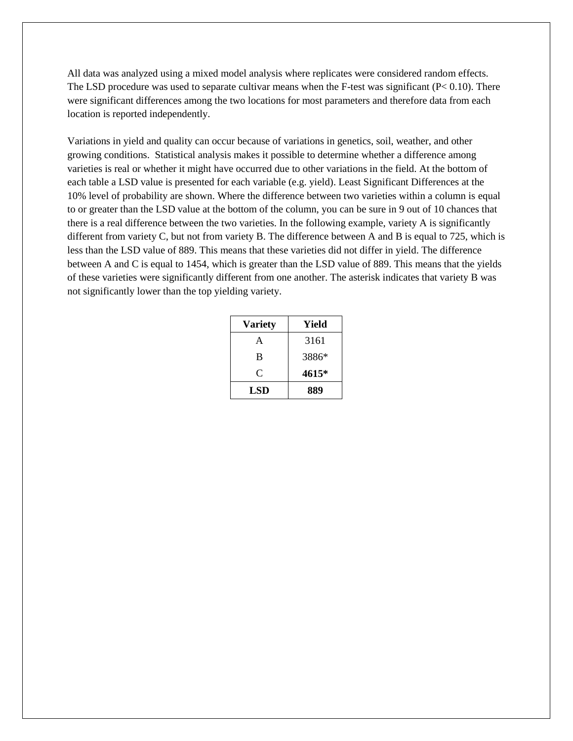All data was analyzed using a mixed model analysis where replicates were considered random effects. The LSD procedure was used to separate cultivar means when the F-test was significant ( $P < 0.10$ ). There were significant differences among the two locations for most parameters and therefore data from each location is reported independently.

Variations in yield and quality can occur because of variations in genetics, soil, weather, and other growing conditions. Statistical analysis makes it possible to determine whether a difference among varieties is real or whether it might have occurred due to other variations in the field. At the bottom of each table a LSD value is presented for each variable (e.g. yield). Least Significant Differences at the 10% level of probability are shown. Where the difference between two varieties within a column is equal to or greater than the LSD value at the bottom of the column, you can be sure in 9 out of 10 chances that there is a real difference between the two varieties. In the following example, variety A is significantly different from variety C, but not from variety B. The difference between A and B is equal to 725, which is less than the LSD value of 889. This means that these varieties did not differ in yield. The difference between A and C is equal to 1454, which is greater than the LSD value of 889. This means that the yields of these varieties were significantly different from one another. The asterisk indicates that variety B was not significantly lower than the top yielding variety.

| <b>Variety</b> | Yield |
|----------------|-------|
| A              | 3161  |
| B              | 3886* |
| C              | 4615* |
| LSD            | 889   |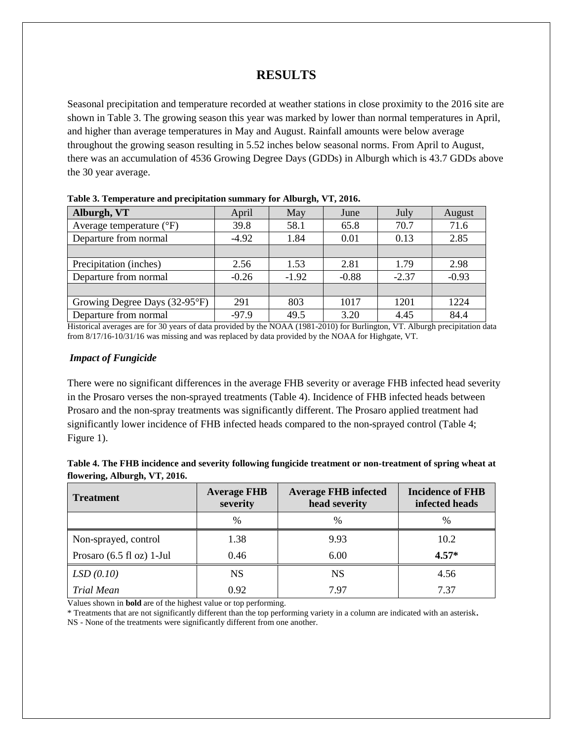# **RESULTS**

Seasonal precipitation and temperature recorded at weather stations in close proximity to the 2016 site are shown in Table 3. The growing season this year was marked by lower than normal temperatures in April, and higher than average temperatures in May and August. Rainfall amounts were below average throughout the growing season resulting in 5.52 inches below seasonal norms. From April to August, there was an accumulation of 4536 Growing Degree Days (GDDs) in Alburgh which is 43.7 GDDs above the 30 year average.

| Alburgh, VT                       | April   | May     | June    | July    | August  |
|-----------------------------------|---------|---------|---------|---------|---------|
| Average temperature $(^{\circ}F)$ | 39.8    | 58.1    | 65.8    | 70.7    | 71.6    |
| Departure from normal             | $-4.92$ | 1.84    | 0.01    | 0.13    | 2.85    |
|                                   |         |         |         |         |         |
| Precipitation (inches)            | 2.56    | 1.53    | 2.81    | 1.79    | 2.98    |
| Departure from normal             | $-0.26$ | $-1.92$ | $-0.88$ | $-2.37$ | $-0.93$ |
|                                   |         |         |         |         |         |
| Growing Degree Days (32-95°F)     | 291     | 803     | 1017    | 1201    | 1224    |
| Departure from normal             | $-97.9$ | 49.5    | 3.20    | 4.45    | 84.4    |

**Table 3. Temperature and precipitation summary for Alburgh, VT, 2016.**

Historical averages are for 30 years of data provided by the NOAA (1981-2010) for Burlington, VT. Alburgh precipitation data from 8/17/16-10/31/16 was missing and was replaced by data provided by the NOAA for Highgate, VT.

#### *Impact of Fungicide*

There were no significant differences in the average FHB severity or average FHB infected head severity in the Prosaro verses the non-sprayed treatments (Table 4). Incidence of FHB infected heads between Prosaro and the non-spray treatments was significantly different. The Prosaro applied treatment had significantly lower incidence of FHB infected heads compared to the non-sprayed control (Table 4; Figure 1).

| Table 4. The FHB incidence and severity following fungicide treatment or non-treatment of spring wheat at |  |
|-----------------------------------------------------------------------------------------------------------|--|
| flowering, Alburgh, VT, 2016.                                                                             |  |

| <b>Treatment</b>                    | <b>Average FHB</b><br>severity | <b>Average FHB infected</b><br>head severity |         |
|-------------------------------------|--------------------------------|----------------------------------------------|---------|
|                                     | $\%$                           | $\%$                                         | $\%$    |
| Non-sprayed, control                | 1.38                           | 9.93                                         | 10.2    |
| Prosaro $(6.5 \text{ fl oz})$ 1-Jul | 0.46                           | 6.00                                         | $4.57*$ |
| LSD(0.10)                           | <b>NS</b>                      | <b>NS</b>                                    | 4.56    |
| <b>Trial Mean</b>                   | 0.92                           | 797                                          | 7.37    |

Values shown in **bold** are of the highest value or top performing.

\* Treatments that are not significantly different than the top performing variety in a column are indicated with an asterisk**.**

NS - None of the treatments were significantly different from one another.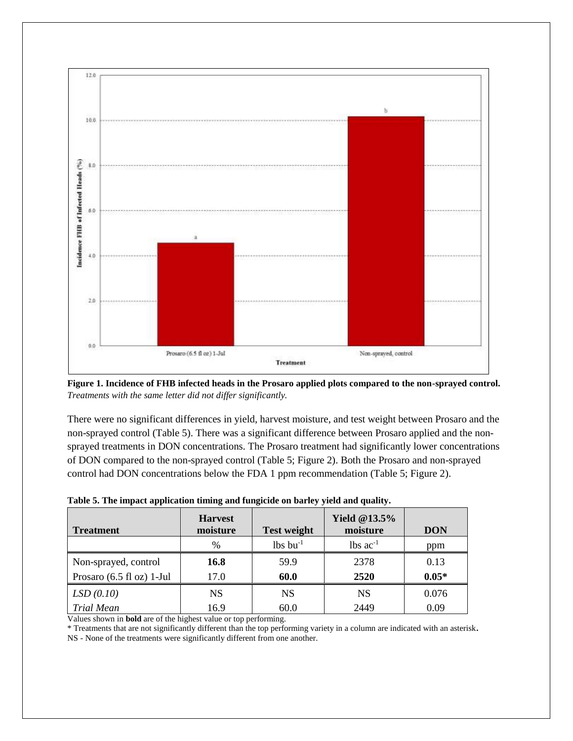

**Figure 1. Incidence of FHB infected heads in the Prosaro applied plots compared to the non-sprayed control.**  *Treatments with the same letter did not differ significantly.*

There were no significant differences in yield, harvest moisture, and test weight between Prosaro and the non-sprayed control (Table 5). There was a significant difference between Prosaro applied and the nonsprayed treatments in DON concentrations. The Prosaro treatment had significantly lower concentrations of DON compared to the non-sprayed control (Table 5; Figure 2). Both the Prosaro and non-sprayed control had DON concentrations below the FDA 1 ppm recommendation (Table 5; Figure 2).

| <b>Treatment</b>          | <b>Harvest</b><br>moisture | <b>Test weight</b> | Yield $@13.5\%$<br>moisture | <b>DON</b> |
|---------------------------|----------------------------|--------------------|-----------------------------|------------|
|                           | $\%$                       | $lbs$ bu $-l$      | $lbs$ ac <sup>-1</sup>      | ppm        |
| Non-sprayed, control      | 16.8                       | 59.9               | 2378                        | 0.13       |
| Prosaro (6.5 fl oz) 1-Jul | 17.0                       | 60.0               | 2520                        | $0.05*$    |
| LSD(0.10)                 | <b>NS</b>                  | <b>NS</b>          | <b>NS</b>                   | 0.076      |
| <b>Trial Mean</b>         | 16.9                       | 60.0               | 2449                        | 0.09       |

|  | Table 5. The impact application timing and fungicide on barley yield and quality. |  |  |  |
|--|-----------------------------------------------------------------------------------|--|--|--|
|  |                                                                                   |  |  |  |
|  |                                                                                   |  |  |  |

Values shown in **bold** are of the highest value or top performing.

\* Treatments that are not significantly different than the top performing variety in a column are indicated with an asterisk**.**

NS - None of the treatments were significantly different from one another.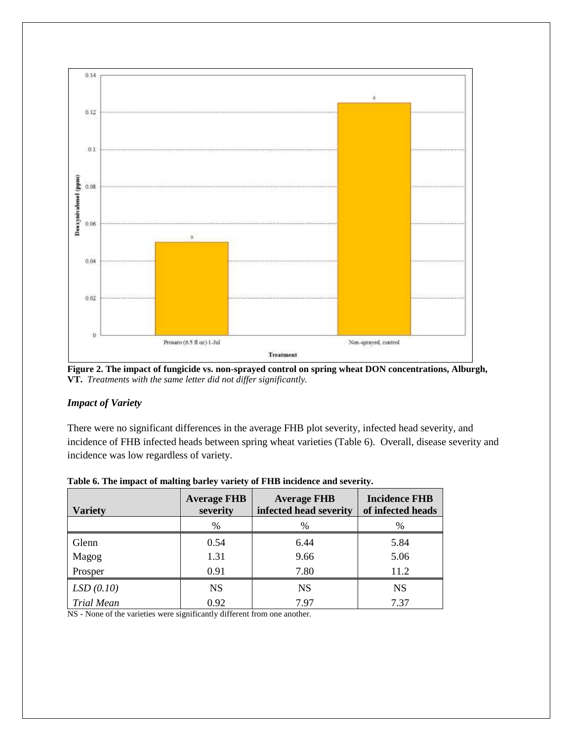

**Figure 2. The impact of fungicide vs. non-sprayed control on spring wheat DON concentrations, Alburgh, VT.** *Treatments with the same letter did not differ significantly.*

#### *Impact of Variety*

There were no significant differences in the average FHB plot severity, infected head severity, and incidence of FHB infected heads between spring wheat varieties (Table 6). Overall, disease severity and incidence was low regardless of variety.

| <b>Variety</b>    | <b>Average FHB</b><br>severity | <b>Average FHB</b><br>infected head severity | <b>Incidence FHB</b><br>of infected heads |  |
|-------------------|--------------------------------|----------------------------------------------|-------------------------------------------|--|
|                   | $\%$                           | %                                            | %                                         |  |
| Glenn             | 0.54                           | 6.44                                         | 5.84                                      |  |
| Magog             | 1.31                           | 9.66                                         | 5.06                                      |  |
| Prosper           | 0.91                           | 7.80                                         | 11.2                                      |  |
| LSD(0.10)         | <b>NS</b>                      | <b>NS</b>                                    | <b>NS</b>                                 |  |
| <b>Trial Mean</b> | 0.92                           | 7.97                                         | 7.37                                      |  |

| Table 6. The impact of malting barley variety of FHB incidence and severity. |  |  |
|------------------------------------------------------------------------------|--|--|
|                                                                              |  |  |

NS - None of the varieties were significantly different from one another.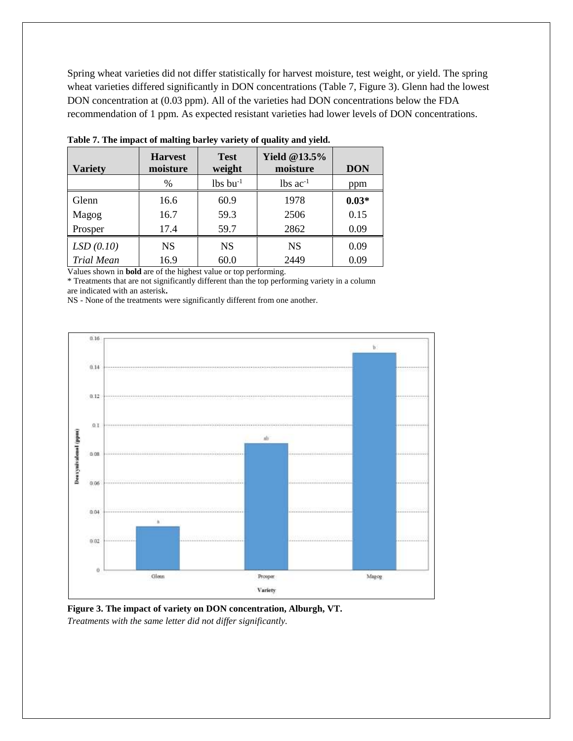Spring wheat varieties did not differ statistically for harvest moisture, test weight, or yield. The spring wheat varieties differed significantly in DON concentrations (Table 7, Figure 3). Glenn had the lowest DON concentration at (0.03 ppm). All of the varieties had DON concentrations below the FDA recommendation of 1 ppm. As expected resistant varieties had lower levels of DON concentrations.

| <b>Variety</b>    | <b>Harvest</b><br>moisture | <b>Test</b><br>weight  | Yield $@13.5\%$<br>moisture | <b>DON</b> |
|-------------------|----------------------------|------------------------|-----------------------------|------------|
|                   | %                          | $lbs$ bu <sup>-1</sup> | $lbs$ ac <sup>-1</sup>      | ppm        |
| Glenn             | 16.6                       | 60.9                   | 1978                        | $0.03*$    |
| Magog             | 16.7                       | 59.3                   | 2506                        | 0.15       |
| Prosper           | 17.4                       | 59.7                   | 2862                        | 0.09       |
| LSD(0.10)         | <b>NS</b>                  | NS                     | <b>NS</b>                   | 0.09       |
| <b>Trial Mean</b> | 16.9                       | 60.0                   | 2449                        | 0.09       |

**Table 7. The impact of malting barley variety of quality and yield.**

Values shown in **bold** are of the highest value or top performing.

\* Treatments that are not significantly different than the top performing variety in a column are indicated with an asterisk**.**

NS - None of the treatments were significantly different from one another.



**Figure 3. The impact of variety on DON concentration, Alburgh, VT.**  *Treatments with the same letter did not differ significantly.*